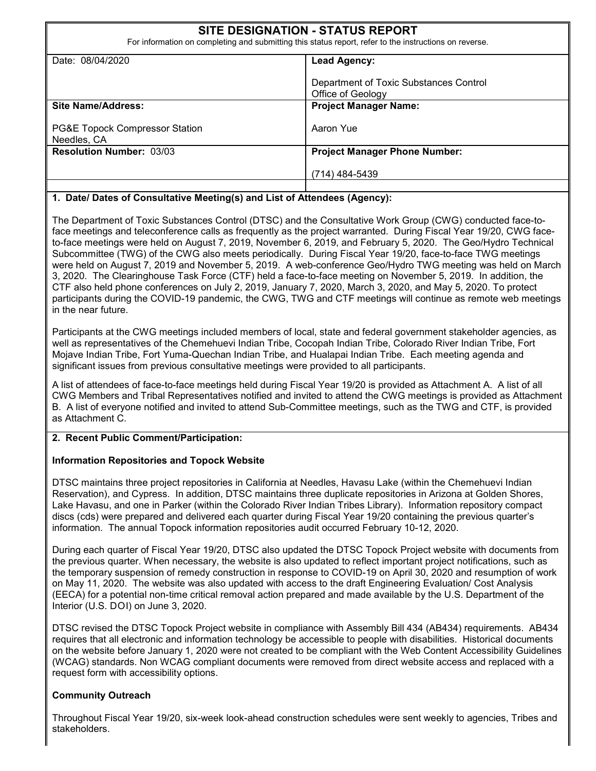| <b>SITE DESIGNATION - STATUS REPORT</b><br>For information on completing and submitting this status report, refer to the instructions on reverse. |                                                             |  |  |  |  |
|---------------------------------------------------------------------------------------------------------------------------------------------------|-------------------------------------------------------------|--|--|--|--|
| Date: 08/04/2020                                                                                                                                  | <b>Lead Agency:</b>                                         |  |  |  |  |
|                                                                                                                                                   | Department of Toxic Substances Control<br>Office of Geology |  |  |  |  |
| Site Name/Address:                                                                                                                                | <b>Project Manager Name:</b>                                |  |  |  |  |
| <b>PG&amp;E Topock Compressor Station</b><br>Needles, CA                                                                                          | Aaron Yue                                                   |  |  |  |  |
| <b>Resolution Number: 03/03</b>                                                                                                                   | <b>Project Manager Phone Number:</b>                        |  |  |  |  |
|                                                                                                                                                   | $(714)$ 484-5439                                            |  |  |  |  |
|                                                                                                                                                   |                                                             |  |  |  |  |

## **1. Date/ Dates of Consultative Meeting(s) and List of Attendees (Agency):**

The Department of Toxic Substances Control (DTSC) and the Consultative Work Group (CWG) conducted face-toface meetings and teleconference calls as frequently as the project warranted. During Fiscal Year 19/20, CWG faceto-face meetings were held on August 7, 2019, November 6, 2019, and February 5, 2020. The Geo/Hydro Technical Subcommittee (TWG) of the CWG also meets periodically. During Fiscal Year 19/20, face-to-face TWG meetings were held on August 7, 2019 and November 5, 2019. A web-conference Geo/Hydro TWG meeting was held on March 3, 2020. The Clearinghouse Task Force (CTF) held a face-to-face meeting on November 5, 2019. In addition, the CTF also held phone conferences on July 2, 2019, January 7, 2020, March 3, 2020, and May 5, 2020. To protect participants during the COVID-19 pandemic, the CWG, TWG and CTF meetings will continue as remote web meetings in the near future.

Participants at the CWG meetings included members of local, state and federal government stakeholder agencies, as well as representatives of the Chemehuevi Indian Tribe, Cocopah Indian Tribe, Colorado River Indian Tribe, Fort Mojave Indian Tribe, Fort Yuma-Quechan Indian Tribe, and Hualapai Indian Tribe. Each meeting agenda and significant issues from previous consultative meetings were provided to all participants.

A list of attendees of face-to-face meetings held during Fiscal Year 19/20 is provided as Attachment A. A list of all CWG Members and Tribal Representatives notified and invited to attend the CWG meetings is provided as Attachment B. A list of everyone notified and invited to attend Sub-Committee meetings, such as the TWG and CTF, is provided as Attachment C.

## **2. Recent Public Comment/Participation:**

## **Information Repositories and Topock Website**

DTSC maintains three project repositories in California at Needles, Havasu Lake (within the Chemehuevi Indian Reservation), and Cypress. In addition, DTSC maintains three duplicate repositories in Arizona at Golden Shores, Lake Havasu, and one in Parker (within the Colorado River Indian Tribes Library). Information repository compact discs (cds) were prepared and delivered each quarter during Fiscal Year 19/20 containing the previous quarter's information. The annual Topock information repositories audit occurred February 10-12, 2020.

During each quarter of Fiscal Year 19/20, DTSC also updated the DTSC Topock Project website with documents from the previous quarter. When necessary, the website is also updated to reflect important project notifications, such as the temporary suspension of remedy construction in response to COVID-19 on April 30, 2020 and resumption of work on May 11, 2020. The website was also updated with access to the draft Engineering Evaluation/ Cost Analysis (EECA) for a potential non-time critical removal action prepared and made available by the U.S. Department of the Interior (U.S. DOI) on June 3, 2020.

DTSC revised the DTSC Topock Project website in compliance with Assembly Bill 434 (AB434) requirements. AB434 requires that all electronic and information technology be accessible to people with disabilities. Historical documents on the website before January 1, 2020 were not created to be compliant with the Web Content Accessibility Guidelines (WCAG) standards. Non WCAG compliant documents were removed from direct website access and replaced with a request form with accessibility options.

## **Community Outreach**

Throughout Fiscal Year 19/20, six-week look-ahead construction schedules were sent weekly to agencies, Tribes and stakeholders.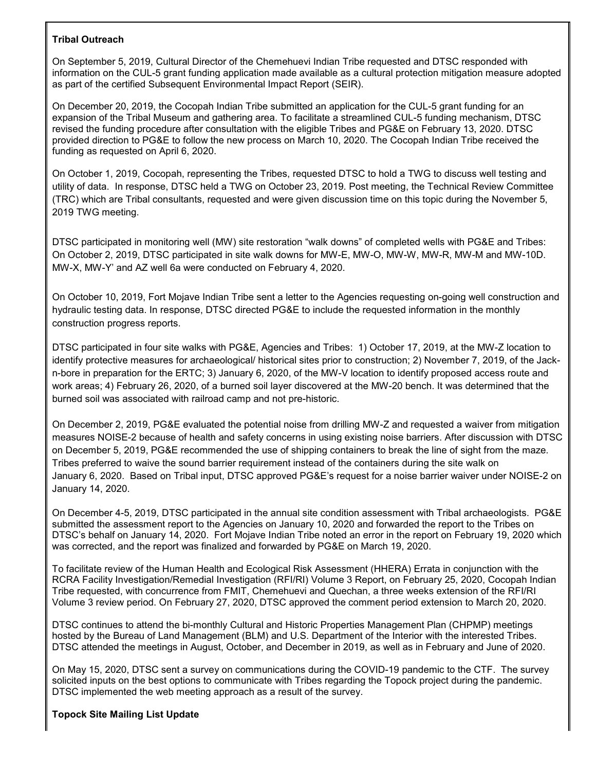## **Tribal Outreach**

On September 5, 2019, Cultural Director of the Chemehuevi Indian Tribe requested and DTSC responded with information on the CUL-5 grant funding application made available as a cultural protection mitigation measure adopted as part of the certified Subsequent Environmental Impact Report (SEIR).

On December 20, 2019, the Cocopah Indian Tribe submitted an application for the CUL-5 grant funding for an expansion of the Tribal Museum and gathering area. To facilitate a streamlined CUL-5 funding mechanism, DTSC revised the funding procedure after consultation with the eligible Tribes and PG&E on February 13, 2020. DTSC provided direction to PG&E to follow the new process on March 10, 2020. The Cocopah Indian Tribe received the funding as requested on April 6, 2020.

On October 1, 2019, Cocopah, representing the Tribes, requested DTSC to hold a TWG to discuss well testing and utility of data. In response, DTSC held a TWG on October 23, 2019. Post meeting, the Technical Review Committee (TRC) which are Tribal consultants, requested and were given discussion time on this topic during the November 5, 2019 TWG meeting.

DTSC participated in monitoring well (MW) site restoration "walk downs" of completed wells with PG&E and Tribes: On October 2, 2019, DTSC participated in site walk downs for MW-E, MW-O, MW-W, MW-R, MW-M and MW-10D. MW-X, MW-Y' and AZ well 6a were conducted on February 4, 2020.

On October 10, 2019, Fort Mojave Indian Tribe sent a letter to the Agencies requesting on-going well construction and hydraulic testing data. In response, DTSC directed PG&E to include the requested information in the monthly construction progress reports.

DTSC participated in four site walks with PG&E, Agencies and Tribes: 1) October 17, 2019, at the MW-Z location to identify protective measures for archaeological/ historical sites prior to construction; 2) November 7, 2019, of the Jackn-bore in preparation for the ERTC; 3) January 6, 2020, of the MW-V location to identify proposed access route and work areas; 4) February 26, 2020, of a burned soil layer discovered at the MW-20 bench. It was determined that the burned soil was associated with railroad camp and not pre-historic.

On December 2, 2019, PG&E evaluated the potential noise from drilling MW-Z and requested a waiver from mitigation measures NOISE-2 because of health and safety concerns in using existing noise barriers. After discussion with DTSC on December 5, 2019, PG&E recommended the use of shipping containers to break the line of sight from the maze. Tribes preferred to waive the sound barrier requirement instead of the containers during the site walk on January 6, 2020. Based on Tribal input, DTSC approved PG&E's request for a noise barrier waiver under NOISE-2 on January 14, 2020.

On December 4-5, 2019, DTSC participated in the annual site condition assessment with Tribal archaeologists. PG&E submitted the assessment report to the Agencies on January 10, 2020 and forwarded the report to the Tribes on DTSC's behalf on January 14, 2020. Fort Mojave Indian Tribe noted an error in the report on February 19, 2020 which was corrected, and the report was finalized and forwarded by PG&E on March 19, 2020.

To facilitate review of the Human Health and Ecological Risk Assessment (HHERA) Errata in conjunction with the RCRA Facility Investigation/Remedial Investigation (RFI/RI) Volume 3 Report, on February 25, 2020, Cocopah Indian Tribe requested, with concurrence from FMIT, Chemehuevi and Quechan, a three weeks extension of the RFI/RI Volume 3 review period. On February 27, 2020, DTSC approved the comment period extension to March 20, 2020.

DTSC continues to attend the bi-monthly Cultural and Historic Properties Management Plan (CHPMP) meetings hosted by the Bureau of Land Management (BLM) and U.S. Department of the Interior with the interested Tribes. DTSC attended the meetings in August, October, and December in 2019, as well as in February and June of 2020.

On May 15, 2020, DTSC sent a survey on communications during the COVID-19 pandemic to the CTF. The survey solicited inputs on the best options to communicate with Tribes regarding the Topock project during the pandemic. DTSC implemented the web meeting approach as a result of the survey.

## **Topock Site Mailing List Update**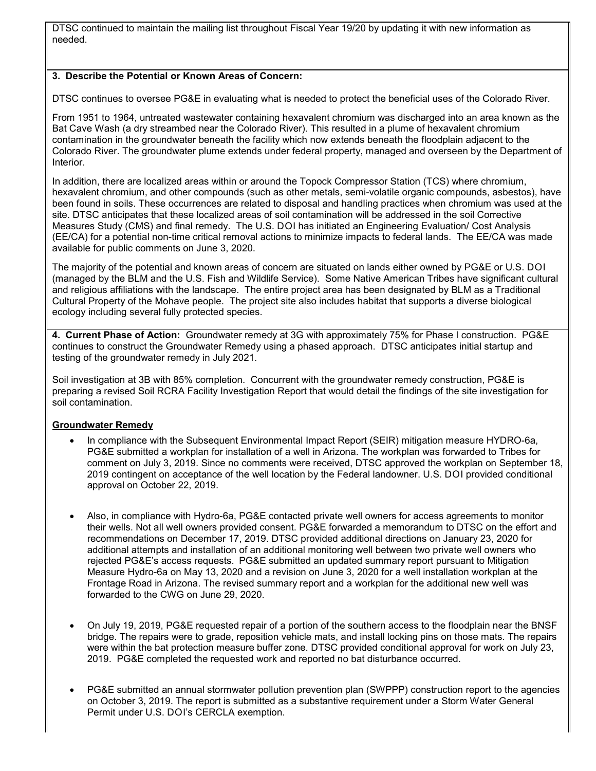DTSC continued to maintain the mailing list throughout Fiscal Year 19/20 by updating it with new information as needed.

## **3. Describe the Potential or Known Areas of Concern:**

DTSC continues to oversee PG&E in evaluating what is needed to protect the beneficial uses of the Colorado River.

From 1951 to 1964, untreated wastewater containing hexavalent chromium was discharged into an area known as the Bat Cave Wash (a dry streambed near the Colorado River). This resulted in a plume of hexavalent chromium contamination in the groundwater beneath the facility which now extends beneath the floodplain adjacent to the Colorado River. The groundwater plume extends under federal property, managed and overseen by the Department of Interior.

In addition, there are localized areas within or around the Topock Compressor Station (TCS) where chromium, hexavalent chromium, and other compounds (such as other metals, semi-volatile organic compounds, asbestos), have been found in soils. These occurrences are related to disposal and handling practices when chromium was used at the site. DTSC anticipates that these localized areas of soil contamination will be addressed in the soil Corrective Measures Study (CMS) and final remedy. The U.S. DOI has initiated an Engineering Evaluation/ Cost Analysis (EE/CA) for a potential non-time critical removal actions to minimize impacts to federal lands. The EE/CA was made available for public comments on June 3, 2020.

The majority of the potential and known areas of concern are situated on lands either owned by PG&E or U.S. DOI (managed by the BLM and the U.S. Fish and Wildlife Service). Some Native American Tribes have significant cultural and religious affiliations with the landscape. The entire project area has been designated by BLM as a Traditional Cultural Property of the Mohave people. The project site also includes habitat that supports a diverse biological ecology including several fully protected species.

**4. Current Phase of Action:** Groundwater remedy at 3G with approximately 75% for Phase I construction. PG&E continues to construct the Groundwater Remedy using a phased approach. DTSC anticipates initial startup and testing of the groundwater remedy in July 2021.

Soil investigation at 3B with 85% completion. Concurrent with the groundwater remedy construction, PG&E is preparing a revised Soil RCRA Facility Investigation Report that would detail the findings of the site investigation for soil contamination.

## **Groundwater Remedy**

- In compliance with the Subsequent Environmental Impact Report (SEIR) mitigation measure HYDRO-6a, PG&E submitted a workplan for installation of a well in Arizona. The workplan was forwarded to Tribes for comment on July 3, 2019. Since no comments were received, DTSC approved the workplan on September 18, 2019 contingent on acceptance of the well location by the Federal landowner. U.S. DOI provided conditional approval on October 22, 2019.
- Also, in compliance with Hydro-6a, PG&E contacted private well owners for access agreements to monitor their wells. Not all well owners provided consent. PG&E forwarded a memorandum to DTSC on the effort and recommendations on December 17, 2019. DTSC provided additional directions on January 23, 2020 for additional attempts and installation of an additional monitoring well between two private well owners who rejected PG&E's access requests. PG&E submitted an updated summary report pursuant to Mitigation Measure Hydro-6a on May 13, 2020 and a revision on June 3, 2020 for a well installation workplan at the Frontage Road in Arizona. The revised summary report and a workplan for the additional new well was forwarded to the CWG on June 29, 2020.
- On July 19, 2019, PG&E requested repair of a portion of the southern access to the floodplain near the BNSF bridge. The repairs were to grade, reposition vehicle mats, and install locking pins on those mats. The repairs were within the bat protection measure buffer zone. DTSC provided conditional approval for work on July 23, 2019. PG&E completed the requested work and reported no bat disturbance occurred.
- PG&E submitted an annual stormwater pollution prevention plan (SWPPP) construction report to the agencies on October 3, 2019. The report is submitted as a substantive requirement under a Storm Water General Permit under U.S. DOI's CERCLA exemption.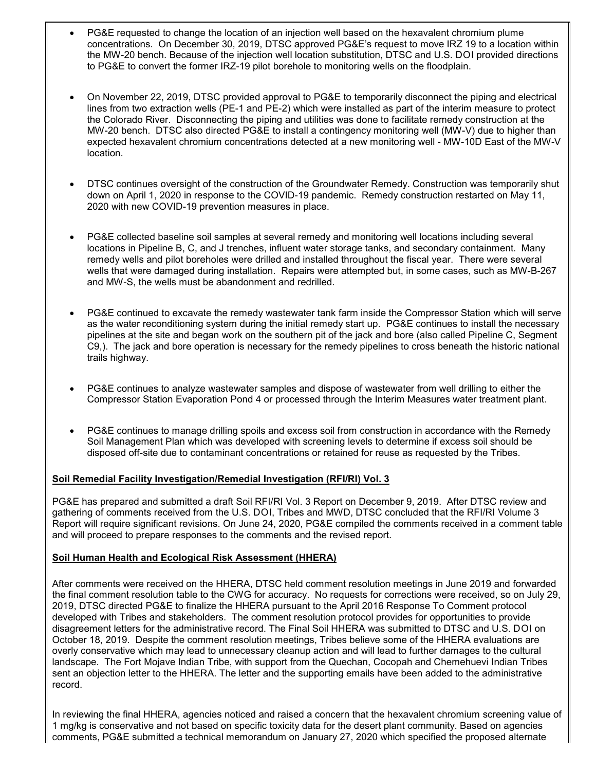- PG&E requested to change the location of an injection well based on the hexavalent chromium plume concentrations. On December 30, 2019, DTSC approved PG&E's request to move IRZ 19 to a location within the MW-20 bench. Because of the injection well location substitution, DTSC and U.S. DOI provided directions to PG&E to convert the former IRZ-19 pilot borehole to monitoring wells on the floodplain.
- On November 22, 2019, DTSC provided approval to PG&E to temporarily disconnect the piping and electrical lines from two extraction wells (PE-1 and PE-2) which were installed as part of the interim measure to protect the Colorado River. Disconnecting the piping and utilities was done to facilitate remedy construction at the MW-20 bench. DTSC also directed PG&E to install a contingency monitoring well (MW-V) due to higher than expected hexavalent chromium concentrations detected at a new monitoring well - MW-10D East of the MW-V location.
- DTSC continues oversight of the construction of the Groundwater Remedy. Construction was temporarily shut down on April 1, 2020 in response to the COVID-19 pandemic. Remedy construction restarted on May 11, 2020 with new COVID-19 prevention measures in place.
- PG&E collected baseline soil samples at several remedy and monitoring well locations including several locations in Pipeline B, C, and J trenches, influent water storage tanks, and secondary containment. Many remedy wells and pilot boreholes were drilled and installed throughout the fiscal year. There were several wells that were damaged during installation. Repairs were attempted but, in some cases, such as MW-B-267 and MW-S, the wells must be abandonment and redrilled.
- PG&E continued to excavate the remedy wastewater tank farm inside the Compressor Station which will serve as the water reconditioning system during the initial remedy start up. PG&E continues to install the necessary pipelines at the site and began work on the southern pit of the jack and bore (also called Pipeline C, Segment C9,). The jack and bore operation is necessary for the remedy pipelines to cross beneath the historic national trails highway.
- PG&E continues to analyze wastewater samples and dispose of wastewater from well drilling to either the Compressor Station Evaporation Pond 4 or processed through the Interim Measures water treatment plant.
- PG&E continues to manage drilling spoils and excess soil from construction in accordance with the Remedy Soil Management Plan which was developed with screening levels to determine if excess soil should be disposed off-site due to contaminant concentrations or retained for reuse as requested by the Tribes.

## **Soil Remedial Facility Investigation/Remedial Investigation (RFI/RI) Vol. 3**

PG&E has prepared and submitted a draft Soil RFI/RI Vol. 3 Report on December 9, 2019. After DTSC review and gathering of comments received from the U.S. DOI, Tribes and MWD, DTSC concluded that the RFI/RI Volume 3 Report will require significant revisions. On June 24, 2020, PG&E compiled the comments received in a comment table and will proceed to prepare responses to the comments and the revised report.

## **Soil Human Health and Ecological Risk Assessment (HHERA)**

After comments were received on the HHERA, DTSC held comment resolution meetings in June 2019 and forwarded the final comment resolution table to the CWG for accuracy. No requests for corrections were received, so on July 29, 2019, DTSC directed PG&E to finalize the HHERA pursuant to the April 2016 Response To Comment protocol developed with Tribes and stakeholders. The comment resolution protocol provides for opportunities to provide disagreement letters for the administrative record. The Final Soil HHERA was submitted to DTSC and U.S. DOI on October 18, 2019. Despite the comment resolution meetings, Tribes believe some of the HHERA evaluations are overly conservative which may lead to unnecessary cleanup action and will lead to further damages to the cultural landscape. The Fort Mojave Indian Tribe, with support from the Quechan, Cocopah and Chemehuevi Indian Tribes sent an objection letter to the HHERA. The letter and the supporting emails have been added to the administrative record.

In reviewing the final HHERA, agencies noticed and raised a concern that the hexavalent chromium screening value of 1 mg/kg is conservative and not based on specific toxicity data for the desert plant community. Based on agencies comments, PG&E submitted a technical memorandum on January 27, 2020 which specified the proposed alternate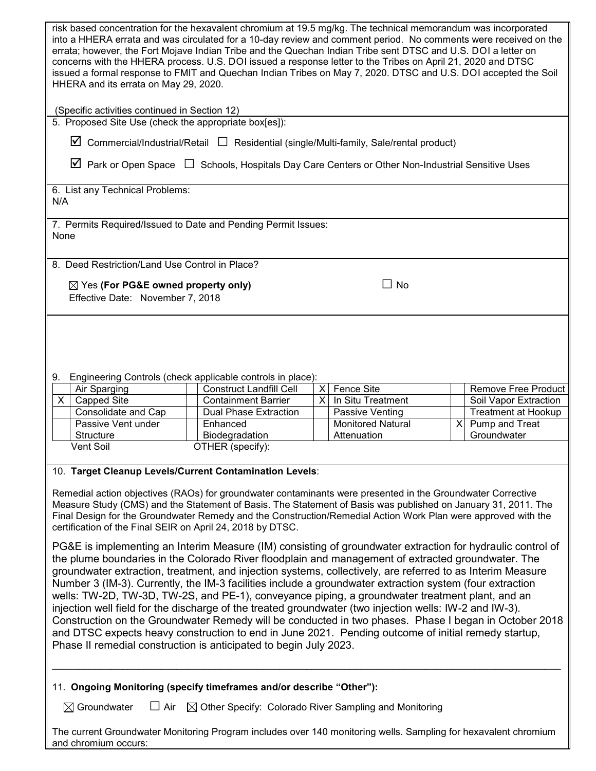| risk based concentration for the hexavalent chromium at 19.5 mg/kg. The technical memorandum was incorporated<br>into a HHERA errata and was circulated for a 10-day review and comment period. No comments were received on the<br>errata; however, the Fort Mojave Indian Tribe and the Quechan Indian Tribe sent DTSC and U.S. DOI a letter on<br>concerns with the HHERA process. U.S. DOI issued a response letter to the Tribes on April 21, 2020 and DTSC<br>issued a formal response to FMIT and Quechan Indian Tribes on May 7, 2020. DTSC and U.S. DOI accepted the Soil<br>HHERA and its errata on May 29, 2020.                                                                                                                                                                                                                                                                                                                   |                                                              |          |                                   |          |                                              |  |  |
|-----------------------------------------------------------------------------------------------------------------------------------------------------------------------------------------------------------------------------------------------------------------------------------------------------------------------------------------------------------------------------------------------------------------------------------------------------------------------------------------------------------------------------------------------------------------------------------------------------------------------------------------------------------------------------------------------------------------------------------------------------------------------------------------------------------------------------------------------------------------------------------------------------------------------------------------------|--------------------------------------------------------------|----------|-----------------------------------|----------|----------------------------------------------|--|--|
| (Specific activities continued in Section 12)<br>5. Proposed Site Use (check the appropriate box[es]):                                                                                                                                                                                                                                                                                                                                                                                                                                                                                                                                                                                                                                                                                                                                                                                                                                        |                                                              |          |                                   |          |                                              |  |  |
| $\boxtimes$ Commercial/Industrial/Retail $\Box$ Residential (single/Multi-family, Sale/rental product)                                                                                                                                                                                                                                                                                                                                                                                                                                                                                                                                                                                                                                                                                                                                                                                                                                        |                                                              |          |                                   |          |                                              |  |  |
|                                                                                                                                                                                                                                                                                                                                                                                                                                                                                                                                                                                                                                                                                                                                                                                                                                                                                                                                               |                                                              |          |                                   |          |                                              |  |  |
| $\Delta$ Park or Open Space $\Box$ Schools, Hospitals Day Care Centers or Other Non-Industrial Sensitive Uses                                                                                                                                                                                                                                                                                                                                                                                                                                                                                                                                                                                                                                                                                                                                                                                                                                 |                                                              |          |                                   |          |                                              |  |  |
| 6. List any Technical Problems:<br>N/A                                                                                                                                                                                                                                                                                                                                                                                                                                                                                                                                                                                                                                                                                                                                                                                                                                                                                                        |                                                              |          |                                   |          |                                              |  |  |
| 7. Permits Required/Issued to Date and Pending Permit Issues:<br>None                                                                                                                                                                                                                                                                                                                                                                                                                                                                                                                                                                                                                                                                                                                                                                                                                                                                         |                                                              |          |                                   |          |                                              |  |  |
| 8. Deed Restriction/Land Use Control in Place?                                                                                                                                                                                                                                                                                                                                                                                                                                                                                                                                                                                                                                                                                                                                                                                                                                                                                                |                                                              |          |                                   |          |                                              |  |  |
| $\Box$ No<br>$\boxtimes$ Yes (For PG&E owned property only)<br>Effective Date: November 7, 2018                                                                                                                                                                                                                                                                                                                                                                                                                                                                                                                                                                                                                                                                                                                                                                                                                                               |                                                              |          |                                   |          |                                              |  |  |
| Engineering Controls (check applicable controls in place):<br>9.                                                                                                                                                                                                                                                                                                                                                                                                                                                                                                                                                                                                                                                                                                                                                                                                                                                                              |                                                              |          |                                   |          |                                              |  |  |
| Air Sparging<br>X<br><b>Capped Site</b>                                                                                                                                                                                                                                                                                                                                                                                                                                                                                                                                                                                                                                                                                                                                                                                                                                                                                                       | <b>Construct Landfill Cell</b><br><b>Containment Barrier</b> | $\times$ | X Fence Site<br>In Situ Treatment |          | Remove Free Product<br>Soil Vapor Extraction |  |  |
| Consolidate and Cap                                                                                                                                                                                                                                                                                                                                                                                                                                                                                                                                                                                                                                                                                                                                                                                                                                                                                                                           | <b>Dual Phase Extraction</b>                                 |          | Passive Venting                   |          | <b>Treatment at Hookup</b>                   |  |  |
| Passive Vent under                                                                                                                                                                                                                                                                                                                                                                                                                                                                                                                                                                                                                                                                                                                                                                                                                                                                                                                            | Enhanced                                                     |          | <b>Monitored Natural</b>          | $\times$ | Pump and Treat                               |  |  |
| <b>Structure</b><br>Vent Soil                                                                                                                                                                                                                                                                                                                                                                                                                                                                                                                                                                                                                                                                                                                                                                                                                                                                                                                 | Biodegradation                                               |          | Attenuation                       |          | Groundwater                                  |  |  |
|                                                                                                                                                                                                                                                                                                                                                                                                                                                                                                                                                                                                                                                                                                                                                                                                                                                                                                                                               | OTHER (specify):                                             |          |                                   |          |                                              |  |  |
| 10. Target Cleanup Levels/Current Contamination Levels:<br>Remedial action objectives (RAOs) for groundwater contaminants were presented in the Groundwater Corrective<br>Measure Study (CMS) and the Statement of Basis. The Statement of Basis was published on January 31, 2011. The<br>Final Design for the Groundwater Remedy and the Construction/Remedial Action Work Plan were approved with the<br>certification of the Final SEIR on April 24, 2018 by DTSC.                                                                                                                                                                                                                                                                                                                                                                                                                                                                        |                                                              |          |                                   |          |                                              |  |  |
| PG&E is implementing an Interim Measure (IM) consisting of groundwater extraction for hydraulic control of<br>the plume boundaries in the Colorado River floodplain and management of extracted groundwater. The<br>groundwater extraction, treatment, and injection systems, collectively, are referred to as Interim Measure<br>Number 3 (IM-3). Currently, the IM-3 facilities include a groundwater extraction system (four extraction<br>wells: TW-2D, TW-3D, TW-2S, and PE-1), conveyance piping, a groundwater treatment plant, and an<br>injection well field for the discharge of the treated groundwater (two injection wells: IW-2 and IW-3).<br>Construction on the Groundwater Remedy will be conducted in two phases. Phase I began in October 2018<br>and DTSC expects heavy construction to end in June 2021. Pending outcome of initial remedy startup,<br>Phase II remedial construction is anticipated to begin July 2023. |                                                              |          |                                   |          |                                              |  |  |
| 11. Ongoing Monitoring (specify timeframes and/or describe "Other"):                                                                                                                                                                                                                                                                                                                                                                                                                                                                                                                                                                                                                                                                                                                                                                                                                                                                          |                                                              |          |                                   |          |                                              |  |  |
| $\boxtimes$ Groundwater<br>$\Box$ Air<br>$\boxtimes$ Other Specify: Colorado River Sampling and Monitoring<br>The current Groundwater Monitoring Program includes over 140 monitoring wells. Sampling for hexavalent chromium<br>and chromium occurs:                                                                                                                                                                                                                                                                                                                                                                                                                                                                                                                                                                                                                                                                                         |                                                              |          |                                   |          |                                              |  |  |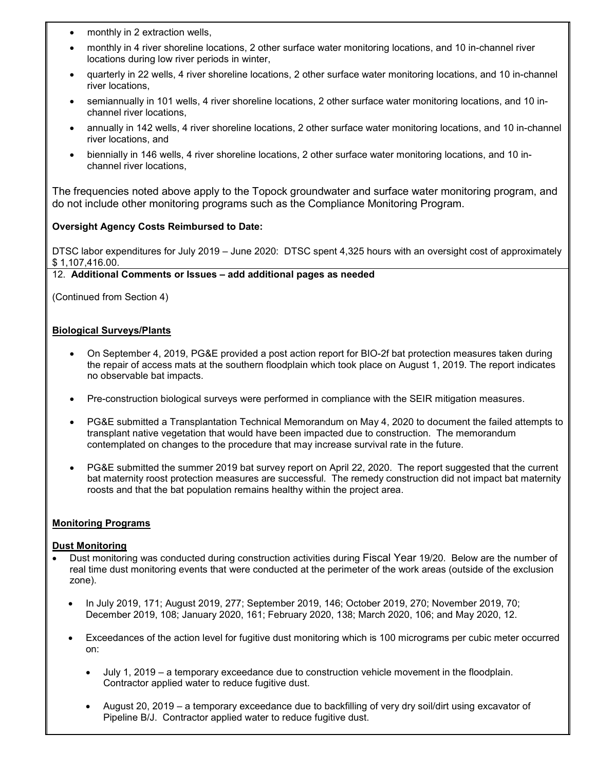- monthly in 2 extraction wells,
- monthly in 4 river shoreline locations, 2 other surface water monitoring locations, and 10 in-channel river locations during low river periods in winter,
- quarterly in 22 wells, 4 river shoreline locations, 2 other surface water monitoring locations, and 10 in-channel river locations,
- semiannually in 101 wells, 4 river shoreline locations, 2 other surface water monitoring locations, and 10 inchannel river locations,
- annually in 142 wells, 4 river shoreline locations, 2 other surface water monitoring locations, and 10 in-channel river locations, and
- biennially in 146 wells, 4 river shoreline locations, 2 other surface water monitoring locations, and 10 inchannel river locations,

The frequencies noted above apply to the Topock groundwater and surface water monitoring program, and do not include other monitoring programs such as the Compliance Monitoring Program.

## **Oversight Agency Costs Reimbursed to Date:**

DTSC labor expenditures for July 2019 – June 2020: DTSC spent 4,325 hours with an oversight cost of approximately \$ 1,107,416.00.

## 12. **Additional Comments or Issues – add additional pages as needed**

(Continued from Section 4)

## **Biological Surveys/Plants**

- On September 4, 2019, PG&E provided a post action report for BIO-2f bat protection measures taken during the repair of access mats at the southern floodplain which took place on August 1, 2019. The report indicates no observable bat impacts.
- Pre-construction biological surveys were performed in compliance with the SEIR mitigation measures.
- PG&E submitted a Transplantation Technical Memorandum on May 4, 2020 to document the failed attempts to transplant native vegetation that would have been impacted due to construction. The memorandum contemplated on changes to the procedure that may increase survival rate in the future.
- PG&E submitted the summer 2019 bat survey report on April 22, 2020. The report suggested that the current bat maternity roost protection measures are successful. The remedy construction did not impact bat maternity roosts and that the bat population remains healthy within the project area.

## **Monitoring Programs**

## **Dust Monitoring**

- Dust monitoring was conducted during construction activities during Fiscal Year 19/20. Below are the number of real time dust monitoring events that were conducted at the perimeter of the work areas (outside of the exclusion zone).
	- In July 2019, 171; August 2019, 277; September 2019, 146; October 2019, 270; November 2019, 70; December 2019, 108; January 2020, 161; February 2020, 138; March 2020, 106; and May 2020, 12.
	- Exceedances of the action level for fugitive dust monitoring which is 100 micrograms per cubic meter occurred on:
		- July 1, 2019 a temporary exceedance due to construction vehicle movement in the floodplain. Contractor applied water to reduce fugitive dust.
		- August 20, 2019 a temporary exceedance due to backfilling of very dry soil/dirt using excavator of Pipeline B/J. Contractor applied water to reduce fugitive dust.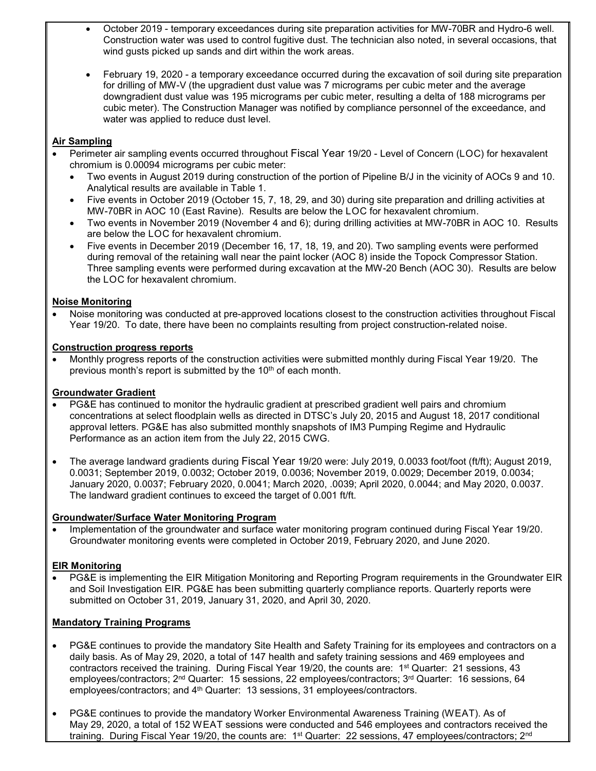- October 2019 temporary exceedances during site preparation activities for MW-70BR and Hydro-6 well. Construction water was used to control fugitive dust. The technician also noted, in several occasions, that wind gusts picked up sands and dirt within the work areas.
- February 19, 2020 a temporary exceedance occurred during the excavation of soil during site preparation for drilling of MW-V (the upgradient dust value was 7 micrograms per cubic meter and the average downgradient dust value was 195 micrograms per cubic meter, resulting a delta of 188 micrograms per cubic meter). The Construction Manager was notified by compliance personnel of the exceedance, and water was applied to reduce dust level.

## **Air Sampling**

- Perimeter air sampling events occurred throughout Fiscal Year 19/20 Level of Concern (LOC) for hexavalent chromium is 0.00094 micrograms per cubic meter:
	- Two events in August 2019 during construction of the portion of Pipeline B/J in the vicinity of AOCs 9 and 10. Analytical results are available in Table 1.
	- Five events in October 2019 (October 15, 7, 18, 29, and 30) during site preparation and drilling activities at MW-70BR in AOC 10 (East Ravine). Results are below the LOC for hexavalent chromium.
	- Two events in November 2019 (November 4 and 6); during drilling activities at MW-70BR in AOC 10. Results are below the LOC for hexavalent chromium.
	- Five events in December 2019 (December 16, 17, 18, 19, and 20). Two sampling events were performed during removal of the retaining wall near the paint locker (AOC 8) inside the Topock Compressor Station. Three sampling events were performed during excavation at the MW-20 Bench (AOC 30). Results are below the LOC for hexavalent chromium.

#### **Noise Monitoring**

• Noise monitoring was conducted at pre-approved locations closest to the construction activities throughout Fiscal Year 19/20. To date, there have been no complaints resulting from project construction-related noise.

#### **Construction progress reports**

• Monthly progress reports of the construction activities were submitted monthly during Fiscal Year 19/20. The previous month's report is submitted by the 10<sup>th</sup> of each month.

#### **Groundwater Gradient**

- PG&E has continued to monitor the hydraulic gradient at prescribed gradient well pairs and chromium concentrations at select floodplain wells as directed in DTSC's July 20, 2015 and August 18, 2017 conditional approval letters. PG&E has also submitted monthly snapshots of IM3 Pumping Regime and Hydraulic Performance as an action item from the July 22, 2015 CWG.
- The average landward gradients during Fiscal Year 19/20 were: July 2019, 0.0033 foot/foot (ft/ft); August 2019, 0.0031; September 2019, 0.0032; October 2019, 0.0036; November 2019, 0.0029; December 2019, 0.0034; January 2020, 0.0037; February 2020, 0.0041; March 2020, .0039; April 2020, 0.0044; and May 2020, 0.0037. The landward gradient continues to exceed the target of 0.001 ft/ft.

#### **Groundwater/Surface Water Monitoring Program**

• Implementation of the groundwater and surface water monitoring program continued during Fiscal Year 19/20. Groundwater monitoring events were completed in October 2019, February 2020, and June 2020.

#### **EIR Monitoring**

• PG&E is implementing the EIR Mitigation Monitoring and Reporting Program requirements in the Groundwater EIR and Soil Investigation EIR. PG&E has been submitting quarterly compliance reports. Quarterly reports were submitted on October 31, 2019, January 31, 2020, and April 30, 2020.

#### **Mandatory Training Programs**

- PG&E continues to provide the mandatory Site Health and Safety Training for its employees and contractors on a daily basis. As of May 29, 2020, a total of 147 health and safety training sessions and 469 employees and contractors received the training. During Fiscal Year 19/20, the counts are: 1st Quarter: 21 sessions, 43 employees/contractors; 2<sup>nd</sup> Quarter: 15 sessions, 22 employees/contractors; 3<sup>rd</sup> Quarter: 16 sessions, 64 employees/contractors; and 4<sup>th</sup> Quarter: 13 sessions, 31 employees/contractors.
- PG&E continues to provide the mandatory Worker Environmental Awareness Training (WEAT). As of May 29, 2020, a total of 152 WEAT sessions were conducted and 546 employees and contractors received the training. During Fiscal Year 19/20, the counts are: 1<sup>st</sup> Quarter: 22 sessions, 47 employees/contractors; 2<sup>nd</sup>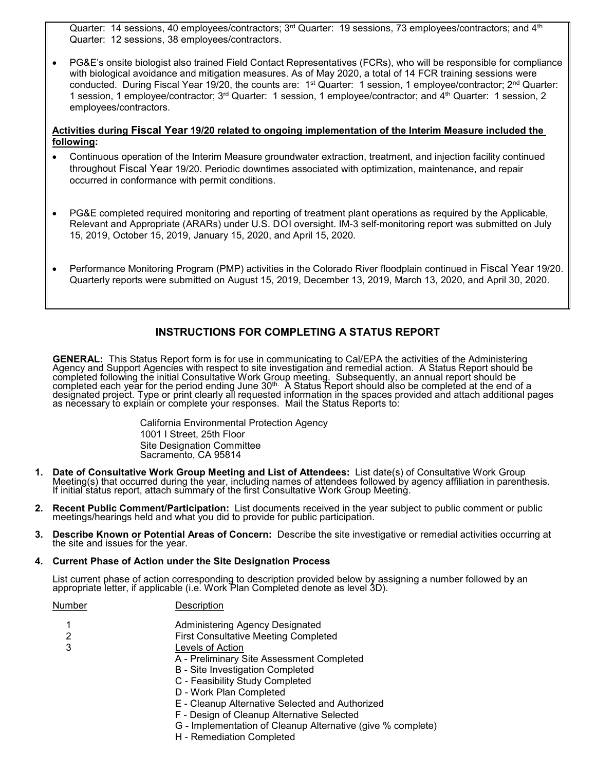Quarter: 14 sessions, 40 employees/contractors; 3<sup>rd</sup> Quarter: 19 sessions, 73 employees/contractors; and 4<sup>th</sup> Quarter: 12 sessions, 38 employees/contractors.

• PG&E's onsite biologist also trained Field Contact Representatives (FCRs), who will be responsible for compliance with biological avoidance and mitigation measures. As of May 2020, a total of 14 FCR training sessions were conducted. During Fiscal Year 19/20, the counts are: 1<sup>st</sup> Quarter: 1 session, 1 employee/contractor; 2<sup>nd</sup> Quarter: 1 session, 1 employee/contractor; 3rd Quarter: 1 session, 1 employee/contractor; and 4th Quarter: 1 session, 2 employees/contractors.

#### **Activities during Fiscal Year 19/20 related to ongoing implementation of the Interim Measure included the following:**

- Continuous operation of the Interim Measure groundwater extraction, treatment, and injection facility continued throughout Fiscal Year 19/20. Periodic downtimes associated with optimization, maintenance, and repair occurred in conformance with permit conditions.
- PG&E completed required monitoring and reporting of treatment plant operations as required by the Applicable, Relevant and Appropriate (ARARs) under U.S. DOI oversight. IM-3 self-monitoring report was submitted on July 15, 2019, October 15, 2019, January 15, 2020, and April 15, 2020.
- Performance Monitoring Program (PMP) activities in the Colorado River floodplain continued in Fiscal Year 19/20. Quarterly reports were submitted on August 15, 2019, December 13, 2019, March 13, 2020, and April 30, 2020.

## **INSTRUCTIONS FOR COMPLETING A STATUS REPORT**

**GENERAL:** This Status Report form is for use in communicating to Cal/EPA the activities of the Administering<br>Agency and Support Agencies with respect to site investigation and remedial action. A Status Report should be<br> completed each year for the period ending June 30th. A Status Report should also be completed at the end of a designated project. Type or print clearly all requested information in the spaces provided and attach additional pages<br>as necessary to explain or complete your responses. Mail the Status Reports to:

> California Environmental Protection Agency 1001 I Street, 25th Floor Site Designation Committee Sacramento, CA 95814

- 1. Date of Consultative Work Group Meeting and List of Attendees: List date(s) of Consultative Work Group<br>Meeting(s) that occurred during the year, including names of attendees followed by agency affiliation in parenthesis
- **2. Recent Public Comment/Participation:** List documents received in the year subject to public comment or public meetings/hearings held and what you did to provide for public participation.
- **3. Describe Known or Potential Areas of Concern:** Describe the site investigative or remedial activities occurring at the site and issues for the year.

#### **4. Current Phase of Action under the Site Designation Process**

List current phase of action corresponding to description provided below by assigning a number followed by an appropriate letter, if applicable (i.e. Work Plan Completed denote as level 3D).

Number Description

- 1 Administering Agency Designated
- 2 First Consultative Meeting Completed
- 3 Levels of Action
	- A Preliminary Site Assessment Completed
	- B Site Investigation Completed
	- C Feasibility Study Completed
	- D Work Plan Completed
	- E Cleanup Alternative Selected and Authorized
	- F Design of Cleanup Alternative Selected
	- G Implementation of Cleanup Alternative (give % complete)
	- H Remediation Completed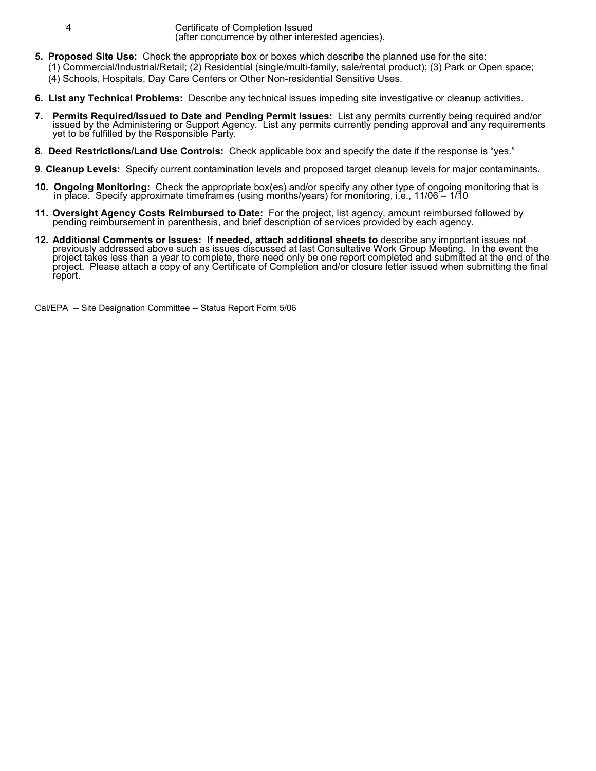4 Certificate of Completion Issued (after concurrence by other interested agencies).

- **5. Proposed Site Use:** Check the appropriate box or boxes which describe the planned use for the site:
	- (1) Commercial/Industrial/Retail; (2) Residential (single/multi-family, sale/rental product); (3) Park or Open space;
	- (4) Schools, Hospitals, Day Care Centers or Other Non-residential Sensitive Uses.
- **6. List any Technical Problems:** Describe any technical issues impeding site investigative or cleanup activities.
- 7. Permits Required/Issued to Date and Pending Permit Issues: List any permits currently being required and/or<br>issued by the Administering or Support Agency. List any permits currently pending approval and any requirements
- **8**. **Deed Restrictions/Land Use Controls:** Check applicable box and specify the date if the response is "yes."
- **9**. **Cleanup Levels:** Specify current contamination levels and proposed target cleanup levels for major contaminants.
- **10. Ongoing Monitoring:** Check the appropriate box(es) and/or specify any other type of ongoing monitoring that is in place. Specify approximate timeframes (using months/years) for monitoring, i.e., 11/06 1/10
- **11. Oversight Agency Costs Reimbursed to Date:** For the project, list agency, amount reimbursed followed by pending reimbursement in parenthesis, and brief description of services provided by each agency.
- 12. Additional Comments or Issues: If needed, attach additional sheets to describe any important issues not<br>previously addressed above such as issues discussed at last Consultative Work Group Meeting. In the event the<br>proj project. Please attach a copy of any Certificate of Completion and/or closure letter issued when submitting the final report.

Cal/EPA -- Site Designation Committee -- Status Report Form 5/06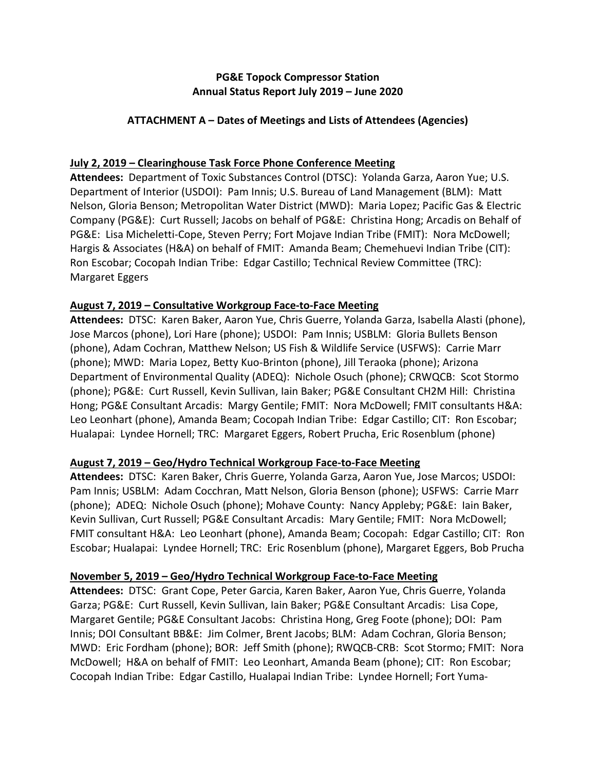# **PG&E Topock Compressor Station Annual Status Report July 2019 – June 2020**

# **ATTACHMENT A – Dates of Meetings and Lists of Attendees (Agencies)**

# **July 2, 2019 – Clearinghouse Task Force Phone Conference Meeting**

**Attendees:** Department of Toxic Substances Control (DTSC): Yolanda Garza, Aaron Yue; U.S. Department of Interior (USDOI): Pam Innis; U.S. Bureau of Land Management (BLM): Matt Nelson, Gloria Benson; Metropolitan Water District (MWD): Maria Lopez; Pacific Gas & Electric Company (PG&E): Curt Russell; Jacobs on behalf of PG&E: Christina Hong; Arcadis on Behalf of PG&E: Lisa Micheletti-Cope, Steven Perry; Fort Mojave Indian Tribe (FMIT): Nora McDowell; Hargis & Associates (H&A) on behalf of FMIT: Amanda Beam; Chemehuevi Indian Tribe (CIT): Ron Escobar; Cocopah Indian Tribe: Edgar Castillo; Technical Review Committee (TRC): Margaret Eggers

## **August 7, 2019 – Consultative Workgroup Face-to-Face Meeting**

**Attendees:** DTSC: Karen Baker, Aaron Yue, Chris Guerre, Yolanda Garza, Isabella Alasti (phone), Jose Marcos (phone), Lori Hare (phone); USDOI: Pam Innis; USBLM: Gloria Bullets Benson (phone), Adam Cochran, Matthew Nelson; US Fish & Wildlife Service (USFWS): Carrie Marr (phone); MWD: Maria Lopez, Betty Kuo-Brinton (phone), Jill Teraoka (phone); Arizona Department of Environmental Quality (ADEQ): Nichole Osuch (phone); CRWQCB: Scot Stormo (phone); PG&E: Curt Russell, Kevin Sullivan, Iain Baker; PG&E Consultant CH2M Hill: Christina Hong; PG&E Consultant Arcadis: Margy Gentile; FMIT: Nora McDowell; FMIT consultants H&A: Leo Leonhart (phone), Amanda Beam; Cocopah Indian Tribe: Edgar Castillo; CIT: Ron Escobar; Hualapai: Lyndee Hornell; TRC: Margaret Eggers, Robert Prucha, Eric Rosenblum (phone)

## **August 7, 2019 – Geo/Hydro Technical Workgroup Face-to-Face Meeting**

**Attendees:** DTSC: Karen Baker, Chris Guerre, Yolanda Garza, Aaron Yue, Jose Marcos; USDOI: Pam Innis; USBLM: Adam Cocchran, Matt Nelson, Gloria Benson (phone); USFWS: Carrie Marr (phone); ADEQ: Nichole Osuch (phone); Mohave County: Nancy Appleby; PG&E: Iain Baker, Kevin Sullivan, Curt Russell; PG&E Consultant Arcadis: Mary Gentile; FMIT: Nora McDowell; FMIT consultant H&A: Leo Leonhart (phone), Amanda Beam; Cocopah: Edgar Castillo; CIT: Ron Escobar; Hualapai: Lyndee Hornell; TRC: Eric Rosenblum (phone), Margaret Eggers, Bob Prucha

## **November 5, 2019 – Geo/Hydro Technical Workgroup Face-to-Face Meeting**

**Attendees:** DTSC: Grant Cope, Peter Garcia, Karen Baker, Aaron Yue, Chris Guerre, Yolanda Garza; PG&E: Curt Russell, Kevin Sullivan, Iain Baker; PG&E Consultant Arcadis: Lisa Cope, Margaret Gentile; PG&E Consultant Jacobs: Christina Hong, Greg Foote (phone); DOI: Pam Innis; DOI Consultant BB&E: Jim Colmer, Brent Jacobs; BLM: Adam Cochran, Gloria Benson; MWD: Eric Fordham (phone); BOR: Jeff Smith (phone); RWQCB-CRB: Scot Stormo; FMIT: Nora McDowell; H&A on behalf of FMIT: Leo Leonhart, Amanda Beam (phone); CIT: Ron Escobar; Cocopah Indian Tribe: Edgar Castillo, Hualapai Indian Tribe: Lyndee Hornell; Fort Yuma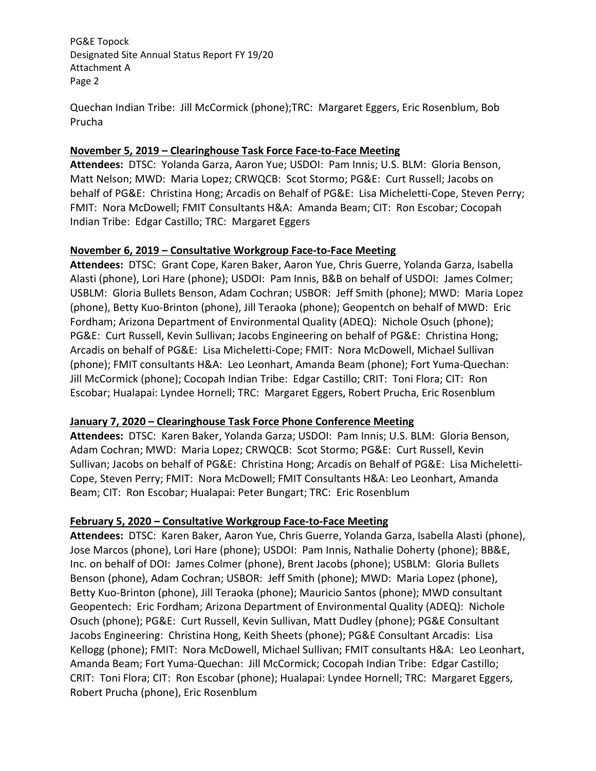PG&E Topock Designated Site Annual Status Report FY 19/20 Attachment A Page 2

Quechan Indian Tribe: Jill McCormick (phone);TRC: Margaret Eggers, Eric Rosenblum, Bob Prucha

## **November 5, 2019 – Clearinghouse Task Force Face-to-Face Meeting**

**Attendees:** DTSC: Yolanda Garza, Aaron Yue; USDOI: Pam Innis; U.S. BLM: Gloria Benson, Matt Nelson; MWD: Maria Lopez; CRWQCB: Scot Stormo; PG&E: Curt Russell; Jacobs on behalf of PG&E: Christina Hong; Arcadis on Behalf of PG&E: Lisa Micheletti-Cope, Steven Perry; FMIT: Nora McDowell; FMIT Consultants H&A: Amanda Beam; CIT: Ron Escobar; Cocopah Indian Tribe: Edgar Castillo; TRC: Margaret Eggers

## **November 6, 2019 – Consultative Workgroup Face-to-Face Meeting**

**Attendees:** DTSC: Grant Cope, Karen Baker, Aaron Yue, Chris Guerre, Yolanda Garza, Isabella Alasti (phone), Lori Hare (phone); USDOI: Pam Innis, B&B on behalf of USDOI: James Colmer; USBLM: Gloria Bullets Benson, Adam Cochran; USBOR: Jeff Smith (phone); MWD: Maria Lopez (phone), Betty Kuo-Brinton (phone), Jill Teraoka (phone); Geopentch on behalf of MWD: Eric Fordham; Arizona Department of Environmental Quality (ADEQ): Nichole Osuch (phone); PG&E: Curt Russell, Kevin Sullivan; Jacobs Engineering on behalf of PG&E: Christina Hong; Arcadis on behalf of PG&E: Lisa Micheletti-Cope; FMIT: Nora McDowell, Michael Sullivan (phone); FMIT consultants H&A: Leo Leonhart, Amanda Beam (phone); Fort Yuma-Quechan: Jill McCormick (phone); Cocopah Indian Tribe: Edgar Castillo; CRIT: Toni Flora; CIT: Ron Escobar; Hualapai: Lyndee Hornell; TRC: Margaret Eggers, Robert Prucha, Eric Rosenblum

# **January 7, 2020 – Clearinghouse Task Force Phone Conference Meeting**

**Attendees:** DTSC: Karen Baker, Yolanda Garza; USDOI: Pam Innis; U.S. BLM: Gloria Benson, Adam Cochran; MWD: Maria Lopez; CRWQCB: Scot Stormo; PG&E: Curt Russell, Kevin Sullivan; Jacobs on behalf of PG&E: Christina Hong; Arcadis on Behalf of PG&E: Lisa Micheletti-Cope, Steven Perry; FMIT: Nora McDowell; FMIT Consultants H&A: Leo Leonhart, Amanda Beam; CIT: Ron Escobar; Hualapai: Peter Bungart; TRC: Eric Rosenblum

# **February 5, 2020 – Consultative Workgroup Face-to-Face Meeting**

**Attendees:** DTSC: Karen Baker, Aaron Yue, Chris Guerre, Yolanda Garza, Isabella Alasti (phone), Jose Marcos (phone), Lori Hare (phone); USDOI: Pam Innis, Nathalie Doherty (phone); BB&E, Inc. on behalf of DOI: James Colmer (phone), Brent Jacobs (phone); USBLM: Gloria Bullets Benson (phone), Adam Cochran; USBOR: Jeff Smith (phone); MWD: Maria Lopez (phone), Betty Kuo-Brinton (phone), Jill Teraoka (phone); Mauricio Santos (phone); MWD consultant Geopentech: Eric Fordham; Arizona Department of Environmental Quality (ADEQ): Nichole Osuch (phone); PG&E: Curt Russell, Kevin Sullivan, Matt Dudley (phone); PG&E Consultant Jacobs Engineering: Christina Hong, Keith Sheets (phone); PG&E Consultant Arcadis: Lisa Kellogg (phone); FMIT: Nora McDowell, Michael Sullivan; FMIT consultants H&A: Leo Leonhart, Amanda Beam; Fort Yuma-Quechan: Jill McCormick; Cocopah Indian Tribe: Edgar Castillo; CRIT: Toni Flora; CIT: Ron Escobar (phone); Hualapai: Lyndee Hornell; TRC: Margaret Eggers, Robert Prucha (phone), Eric Rosenblum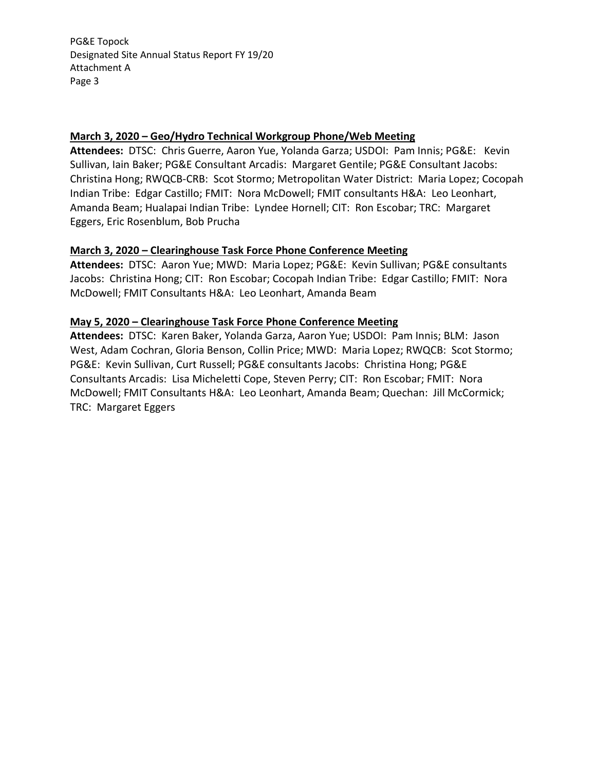PG&E Topock Designated Site Annual Status Report FY 19/20 Attachment A Page 3

## **March 3, 2020 – Geo/Hydro Technical Workgroup Phone/Web Meeting**

**Attendees:** DTSC: Chris Guerre, Aaron Yue, Yolanda Garza; USDOI: Pam Innis; PG&E: Kevin Sullivan, Iain Baker; PG&E Consultant Arcadis: Margaret Gentile; PG&E Consultant Jacobs: Christina Hong; RWQCB-CRB: Scot Stormo; Metropolitan Water District: Maria Lopez; Cocopah Indian Tribe: Edgar Castillo; FMIT: Nora McDowell; FMIT consultants H&A: Leo Leonhart, Amanda Beam; Hualapai Indian Tribe: Lyndee Hornell; CIT: Ron Escobar; TRC: Margaret Eggers, Eric Rosenblum, Bob Prucha

## **March 3, 2020 – Clearinghouse Task Force Phone Conference Meeting**

**Attendees:** DTSC: Aaron Yue; MWD: Maria Lopez; PG&E: Kevin Sullivan; PG&E consultants Jacobs: Christina Hong; CIT: Ron Escobar; Cocopah Indian Tribe: Edgar Castillo; FMIT: Nora McDowell; FMIT Consultants H&A: Leo Leonhart, Amanda Beam

## **May 5, 2020 – Clearinghouse Task Force Phone Conference Meeting**

**Attendees:** DTSC: Karen Baker, Yolanda Garza, Aaron Yue; USDOI: Pam Innis; BLM: Jason West, Adam Cochran, Gloria Benson, Collin Price; MWD: Maria Lopez; RWQCB: Scot Stormo; PG&E: Kevin Sullivan, Curt Russell; PG&E consultants Jacobs: Christina Hong; PG&E Consultants Arcadis: Lisa Micheletti Cope, Steven Perry; CIT: Ron Escobar; FMIT: Nora McDowell; FMIT Consultants H&A: Leo Leonhart, Amanda Beam; Quechan: Jill McCormick; TRC: Margaret Eggers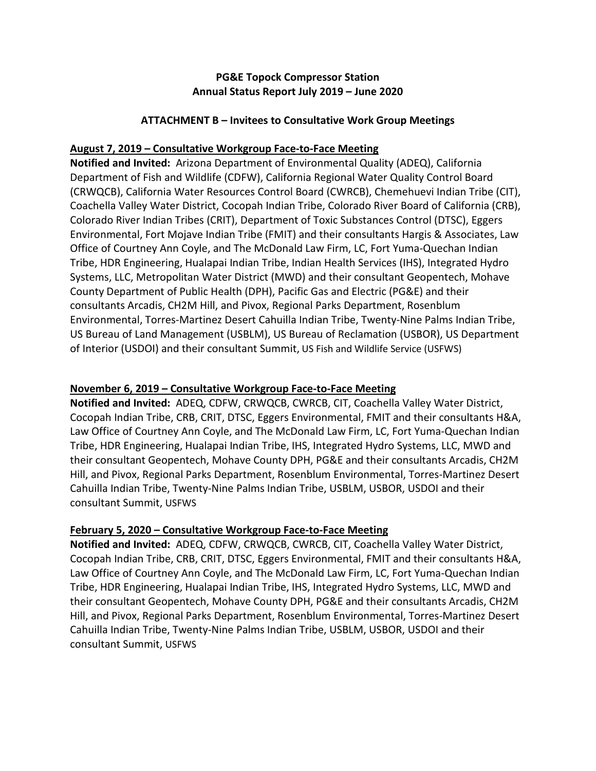# **PG&E Topock Compressor Station Annual Status Report July 2019 – June 2020**

## **ATTACHMENT B – Invitees to Consultative Work Group Meetings**

## **August 7, 2019 – Consultative Workgroup Face-to-Face Meeting**

**Notified and Invited:** Arizona Department of Environmental Quality (ADEQ), California Department of Fish and Wildlife (CDFW), California Regional Water Quality Control Board (CRWQCB), California Water Resources Control Board (CWRCB), Chemehuevi Indian Tribe (CIT), Coachella Valley Water District, Cocopah Indian Tribe, Colorado River Board of California (CRB), Colorado River Indian Tribes (CRIT), Department of Toxic Substances Control (DTSC), Eggers Environmental, Fort Mojave Indian Tribe (FMIT) and their consultants Hargis & Associates, Law Office of Courtney Ann Coyle, and The McDonald Law Firm, LC, Fort Yuma-Quechan Indian Tribe, HDR Engineering, Hualapai Indian Tribe, Indian Health Services (IHS), Integrated Hydro Systems, LLC, Metropolitan Water District (MWD) and their consultant Geopentech, Mohave County Department of Public Health (DPH), Pacific Gas and Electric (PG&E) and their consultants Arcadis, CH2M Hill, and Pivox, Regional Parks Department, Rosenblum Environmental, Torres-Martinez Desert Cahuilla Indian Tribe, Twenty-Nine Palms Indian Tribe, US Bureau of Land Management (USBLM), US Bureau of Reclamation (USBOR), US Department of Interior (USDOI) and their consultant Summit, US Fish and Wildlife Service (USFWS)

# **November 6, 2019 – Consultative Workgroup Face-to-Face Meeting**

**Notified and Invited:** ADEQ, CDFW, CRWQCB, CWRCB, CIT, Coachella Valley Water District, Cocopah Indian Tribe, CRB, CRIT, DTSC, Eggers Environmental, FMIT and their consultants H&A, Law Office of Courtney Ann Coyle, and The McDonald Law Firm, LC, Fort Yuma-Quechan Indian Tribe, HDR Engineering, Hualapai Indian Tribe, IHS, Integrated Hydro Systems, LLC, MWD and their consultant Geopentech, Mohave County DPH, PG&E and their consultants Arcadis, CH2M Hill, and Pivox, Regional Parks Department, Rosenblum Environmental, Torres-Martinez Desert Cahuilla Indian Tribe, Twenty-Nine Palms Indian Tribe, USBLM, USBOR, USDOI and their consultant Summit, USFWS

# **February 5, 2020 – Consultative Workgroup Face-to-Face Meeting**

**Notified and Invited:** ADEQ, CDFW, CRWQCB, CWRCB, CIT, Coachella Valley Water District, Cocopah Indian Tribe, CRB, CRIT, DTSC, Eggers Environmental, FMIT and their consultants H&A, Law Office of Courtney Ann Coyle, and The McDonald Law Firm, LC, Fort Yuma-Quechan Indian Tribe, HDR Engineering, Hualapai Indian Tribe, IHS, Integrated Hydro Systems, LLC, MWD and their consultant Geopentech, Mohave County DPH, PG&E and their consultants Arcadis, CH2M Hill, and Pivox, Regional Parks Department, Rosenblum Environmental, Torres-Martinez Desert Cahuilla Indian Tribe, Twenty-Nine Palms Indian Tribe, USBLM, USBOR, USDOI and their consultant Summit, USFWS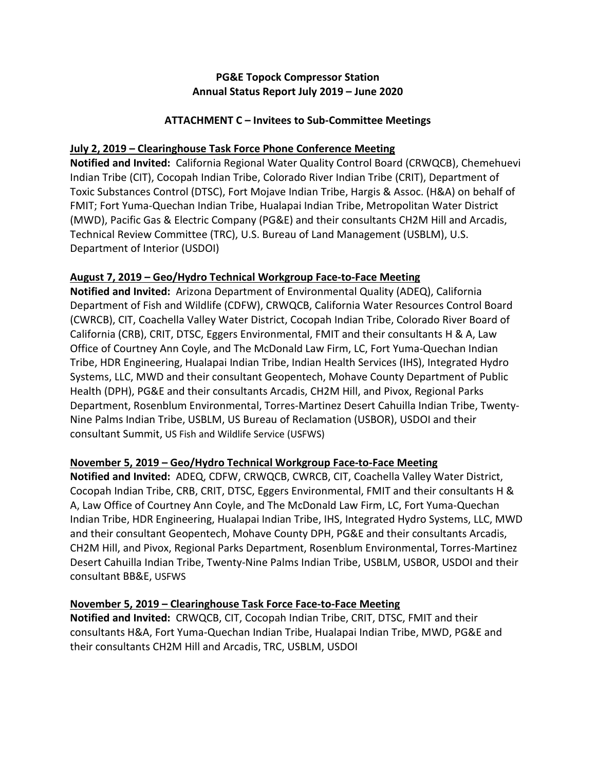# **PG&E Topock Compressor Station Annual Status Report July 2019 – June 2020**

# **ATTACHMENT C – Invitees to Sub-Committee Meetings**

## **July 2, 2019 – Clearinghouse Task Force Phone Conference Meeting**

**Notified and Invited:** California Regional Water Quality Control Board (CRWQCB), Chemehuevi Indian Tribe (CIT), Cocopah Indian Tribe, Colorado River Indian Tribe (CRIT), Department of Toxic Substances Control (DTSC), Fort Mojave Indian Tribe, Hargis & Assoc. (H&A) on behalf of FMIT; Fort Yuma-Quechan Indian Tribe, Hualapai Indian Tribe, Metropolitan Water District (MWD), Pacific Gas & Electric Company (PG&E) and their consultants CH2M Hill and Arcadis, Technical Review Committee (TRC), U.S. Bureau of Land Management (USBLM), U.S. Department of Interior (USDOI)

## **August 7, 2019 – Geo/Hydro Technical Workgroup Face-to-Face Meeting**

**Notified and Invited:** Arizona Department of Environmental Quality (ADEQ), California Department of Fish and Wildlife (CDFW), CRWQCB, California Water Resources Control Board (CWRCB), CIT, Coachella Valley Water District, Cocopah Indian Tribe, Colorado River Board of California (CRB), CRIT, DTSC, Eggers Environmental, FMIT and their consultants H & A, Law Office of Courtney Ann Coyle, and The McDonald Law Firm, LC, Fort Yuma-Quechan Indian Tribe, HDR Engineering, Hualapai Indian Tribe, Indian Health Services (IHS), Integrated Hydro Systems, LLC, MWD and their consultant Geopentech, Mohave County Department of Public Health (DPH), PG&E and their consultants Arcadis, CH2M Hill, and Pivox, Regional Parks Department, Rosenblum Environmental, Torres-Martinez Desert Cahuilla Indian Tribe, Twenty-Nine Palms Indian Tribe, USBLM, US Bureau of Reclamation (USBOR), USDOI and their consultant Summit, US Fish and Wildlife Service (USFWS)

# **November 5, 2019 – Geo/Hydro Technical Workgroup Face-to-Face Meeting**

**Notified and Invited:** ADEQ, CDFW, CRWQCB, CWRCB, CIT, Coachella Valley Water District, Cocopah Indian Tribe, CRB, CRIT, DTSC, Eggers Environmental, FMIT and their consultants H & A, Law Office of Courtney Ann Coyle, and The McDonald Law Firm, LC, Fort Yuma-Quechan Indian Tribe, HDR Engineering, Hualapai Indian Tribe, IHS, Integrated Hydro Systems, LLC, MWD and their consultant Geopentech, Mohave County DPH, PG&E and their consultants Arcadis, CH2M Hill, and Pivox, Regional Parks Department, Rosenblum Environmental, Torres-Martinez Desert Cahuilla Indian Tribe, Twenty-Nine Palms Indian Tribe, USBLM, USBOR, USDOI and their consultant BB&E, USFWS

## **November 5, 2019 – Clearinghouse Task Force Face-to-Face Meeting**

**Notified and Invited:** CRWQCB, CIT, Cocopah Indian Tribe, CRIT, DTSC, FMIT and their consultants H&A, Fort Yuma-Quechan Indian Tribe, Hualapai Indian Tribe, MWD, PG&E and their consultants CH2M Hill and Arcadis, TRC, USBLM, USDOI